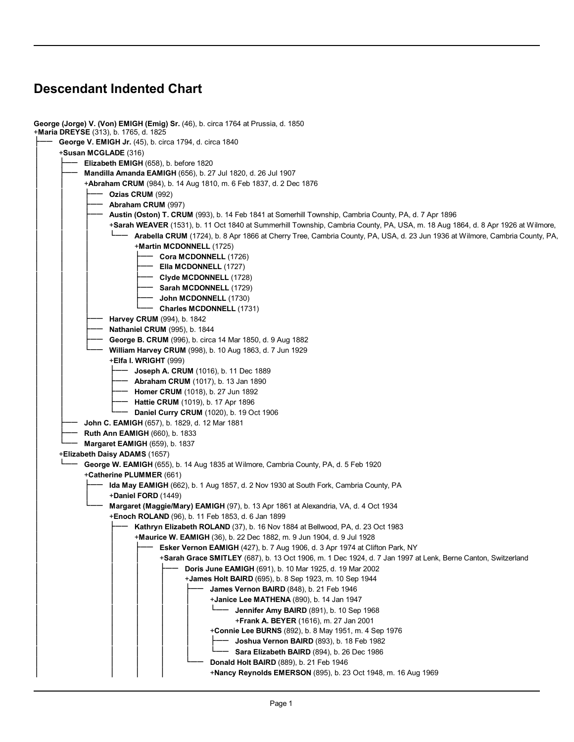## **Descendant Indented Chart**

| George (Jorge) V. (Von) EMIGH (Emig) Sr. (46), b. circa 1764 at Prussia, d. 1850<br>+Maria DREYSE (313), b. 1765, d. 1825       |
|---------------------------------------------------------------------------------------------------------------------------------|
| George V. EMIGH Jr. (45), b. circa 1794, d. circa 1840                                                                          |
| + <b>Susan MCGLADE</b> (316)                                                                                                    |
| Elizabeth EMIGH (658), b. before 1820                                                                                           |
|                                                                                                                                 |
| Mandilla Amanda EAMIGH (656), b. 27 Jul 1820, d. 26 Jul 1907                                                                    |
| <b>+Abraham CRUM</b> (984), b. 14 Aug 1810, m. 6 Feb 1837, d. 2 Dec 1876                                                        |
| Ozias CRUM (992)                                                                                                                |
| Abraham CRUM (997)                                                                                                              |
| Austin (Oston) T. CRUM (993), b. 14 Feb 1841 at Somerhill Township, Cambria County, PA, d. 7 Apr 1896                           |
| +Sarah WEAVER (1531), b. 11 Oct 1840 at Summerhill Township, Cambria County, PA, USA, m. 18 Aug 1864, d. 8 Apr 1926 at Wilmore, |
| Arabella CRUM (1724), b. 8 Apr 1866 at Cherry Tree, Cambria County, PA, USA, d. 23 Jun 1936 at Wilmore, Cambria County, PA,     |
| +Martin MCDONNELL (1725)                                                                                                        |
| Cora MCDONNELL (1726)                                                                                                           |
| Ella MCDONNELL (1727)                                                                                                           |
| - Clyde MCDONNELL (1728)                                                                                                        |
| <b>- Sarah MCDONNELL (1729)</b>                                                                                                 |
| - John MCDONNELL (1730)                                                                                                         |
| <b>Charles MCDONNELL (1731)</b>                                                                                                 |
| Harvey CRUM (994), b. 1842                                                                                                      |
| <b>Nathaniel CRUM</b> (995), b. 1844                                                                                            |
| George B. CRUM (996), b. circa 14 Mar 1850, d. 9 Aug 1882                                                                       |
| William Harvey CRUM (998), b. 10 Aug 1863, d. 7 Jun 1929                                                                        |
| $+E$ Ifa I. WRIGHT (999)                                                                                                        |
| - Joseph A. CRUM (1016), b. 11 Dec 1889                                                                                         |
|                                                                                                                                 |
| Abraham CRUM (1017), b. 13 Jan 1890                                                                                             |
| <b>Homer CRUM</b> (1018), b. 27 Jun 1892                                                                                        |
| <b>Hattie CRUM</b> (1019), b. 17 Apr 1896                                                                                       |
| Daniel Curry CRUM (1020), b. 19 Oct 1906                                                                                        |
| John C. EAMIGH (657), b. 1829, d. 12 Mar 1881                                                                                   |
| <b>Ruth Ann EAMIGH (660), b. 1833</b>                                                                                           |
| <b>Margaret EAMIGH (659), b. 1837</b>                                                                                           |
| +Elizabeth Daisy ADAMS (1657)                                                                                                   |
| George W. EAMIGH (655), b. 14 Aug 1835 at Wilmore, Cambria County, PA, d. 5 Feb 1920                                            |
| +Catherine PLUMMER (661)                                                                                                        |
| Ida May EAMIGH (662), b. 1 Aug 1857, d. 2 Nov 1930 at South Fork, Cambria County, PA                                            |
| +Daniel FORD (1449)                                                                                                             |
| Margaret (Maggie/Mary) EAMIGH (97), b. 13 Apr 1861 at Alexandria, VA, d. 4 Oct 1934                                             |
| <b>Enoch ROLAND</b> (96), b. 11 Feb 1853, d. 6 Jan 1899                                                                         |
| Kathryn Elizabeth ROLAND (37), b. 16 Nov 1884 at Bellwood, PA, d. 23 Oct 1983                                                   |
| +Maurice W. EAMIGH (36), b. 22 Dec 1882, m. 9 Jun 1904, d. 9 Jul 1928                                                           |
| Esker Vernon EAMIGH (427), b. 7 Aug 1906, d. 3 Apr 1974 at Clifton Park, NY                                                     |
| +Sarah Grace SMITLEY (687), b. 13 Oct 1906, m. 1 Dec 1924, d. 7 Jan 1997 at Lenk, Berne Canton, Switzerland                     |
| <b>Doris June EAMIGH (691), b. 10 Mar 1925, d. 19 Mar 2002</b>                                                                  |
| <b>+James Holt BAIRD</b> (695), b. 8 Sep 1923, m. 10 Sep 1944                                                                   |
| James Vernon BAIRD (848), b. 21 Feb 1946                                                                                        |
| +Janice Lee MATHENA (890), b. 14 Jan 1947                                                                                       |
| $L$ —— Jennifer Amy BAIRD (891), b. 10 Sep 1968                                                                                 |
| +Frank A. BEYER (1616), m. 27 Jan 2001                                                                                          |
| +Connie Lee BURNS (892), b. 8 May 1951, m. 4 Sep 1976                                                                           |
| Joshua Vernon BAIRD (893), b. 18 Feb 1982                                                                                       |
| Sara Elizabeth BAIRD (894), b. 26 Dec 1986                                                                                      |
| Donald Holt BAIRD (889), b. 21 Feb 1946                                                                                         |
| +Nancy Reynolds EMERSON (895), b. 23 Oct 1948, m. 16 Aug 1969                                                                   |
|                                                                                                                                 |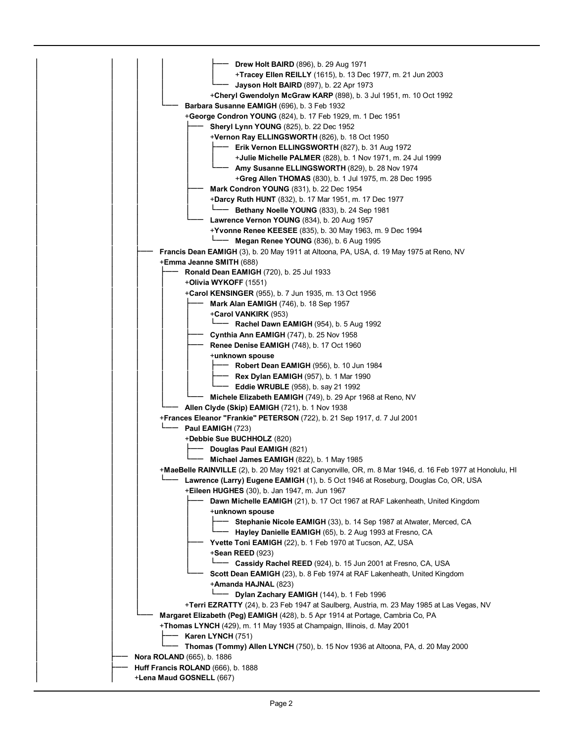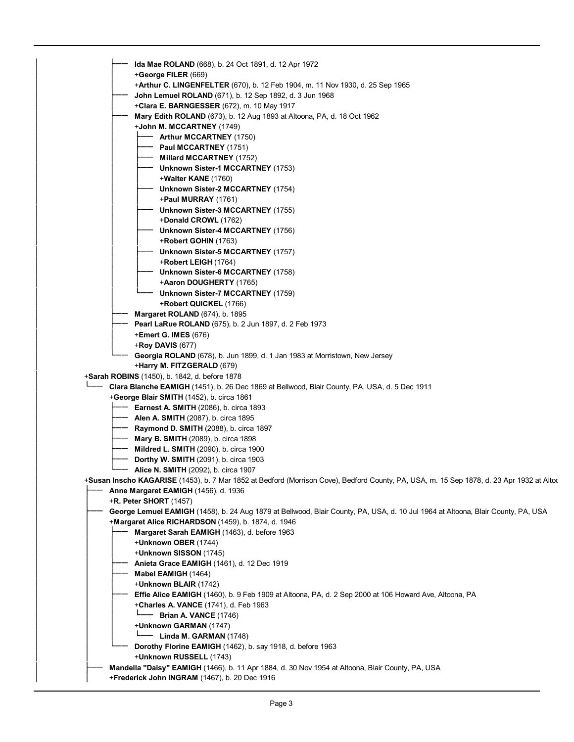| Ida Mae ROLAND (668), b. 24 Oct 1891, d. 12 Apr 1972                                                                                              |
|---------------------------------------------------------------------------------------------------------------------------------------------------|
| +George FILER (669)                                                                                                                               |
| <b>+Arthur C. LINGENFELTER</b> (670), b. 12 Feb 1904, m. 11 Nov 1930, d. 25 Sep 1965                                                              |
| John Lemuel ROLAND (671), b. 12 Sep 1892, d. 3 Jun 1968                                                                                           |
| <b>+Clara E. BARNGESSER</b> (672), m. 10 May 1917                                                                                                 |
| Mary Edith ROLAND (673), b. 12 Aug 1893 at Altoona, PA, d. 18 Oct 1962                                                                            |
| $+$ John M. MCCARTNEY (1749)                                                                                                                      |
|                                                                                                                                                   |
| <b>Arthur MCCARTNEY (1750)</b>                                                                                                                    |
| Paul MCCARTNEY (1751)                                                                                                                             |
| <b>Millard MCCARTNEY</b> (1752)                                                                                                                   |
| Unknown Sister-1 MCCARTNEY (1753)                                                                                                                 |
| $+$ Walter KANE (1760)                                                                                                                            |
| Unknown Sister-2 MCCARTNEY (1754)                                                                                                                 |
| $+$ Paul MURRAY (1761)                                                                                                                            |
| Unknown Sister-3 MCCARTNEY (1755)                                                                                                                 |
| +Donald CROWL (1762)                                                                                                                              |
| Unknown Sister-4 MCCARTNEY (1756)                                                                                                                 |
| +Robert GOHIN (1763)                                                                                                                              |
| Unknown Sister-5 MCCARTNEY (1757)                                                                                                                 |
| $+$ Robert LEIGH (1764)                                                                                                                           |
| Unknown Sister-6 MCCARTNEY (1758)                                                                                                                 |
| +Aaron DOUGHERTY (1765)                                                                                                                           |
| Unknown Sister-7 MCCARTNEY (1759)                                                                                                                 |
| +Robert QUICKEL (1766)                                                                                                                            |
| <b>Margaret ROLAND</b> (674), b. 1895                                                                                                             |
| Pearl LaRue ROLAND (675), b. 2 Jun 1897, d. 2 Feb 1973                                                                                            |
| +Emert G. IMES (676)                                                                                                                              |
| <b>+Roy DAVIS (677)</b>                                                                                                                           |
| Georgia ROLAND (678), b. Jun 1899, d. 1 Jan 1983 at Morristown, New Jersey                                                                        |
| +Harry M. FITZGERALD (679)                                                                                                                        |
| +Sarah ROBINS (1450), b. 1842, d. before 1878                                                                                                     |
| Clara Blanche EAMIGH (1451), b. 26 Dec 1869 at Bellwood, Blair County, PA, USA, d. 5 Dec 1911                                                     |
| +George Blair SMITH (1452), b. circa 1861                                                                                                         |
| <b>Earnest A. SMITH</b> (2086), b. circa 1893                                                                                                     |
| <b>Alen A. SMITH (2087), b. circa 1895</b>                                                                                                        |
| <b>Raymond D. SMITH (2088), b. circa 1897</b>                                                                                                     |
| <b>Mary B. SMITH</b> (2089), b. circa 1898                                                                                                        |
| <b>Mildred L. SMITH</b> (2090), b. circa 1900                                                                                                     |
| <b>Dorthy W. SMITH (2091), b. circa 1903</b>                                                                                                      |
| <b>Alice N. SMITH</b> (2092), b. circa 1907                                                                                                       |
| +Susan Inscho KAGARISE (1453), b. 7 Mar 1852 at Bedford (Morrison Cove), Bedford County, PA, USA, m. 15 Sep 1878, d. 23 Apr 1932 at Altoc         |
| Anne Margaret EAMIGH (1456), d. 1936                                                                                                              |
| $+R$ . Peter SHORT (1457)                                                                                                                         |
| George Lemuel EAMIGH (1458), b. 24 Aug 1879 at Bellwood, Blair County, PA, USA, d. 10 Jul 1964 at Altoona, Blair County, PA, USA                  |
|                                                                                                                                                   |
| +Margaret Alice RICHARDSON (1459), b. 1874, d. 1946                                                                                               |
| Margaret Sarah EAMIGH (1463), d. before 1963                                                                                                      |
| +Unknown OBER (1744)                                                                                                                              |
| +Unknown SISSON (1745)                                                                                                                            |
| Anieta Grace EAMIGH (1461), d. 12 Dec 1919                                                                                                        |
| Mabel EAMIGH (1464)                                                                                                                               |
| +Unknown BLAIR (1742)                                                                                                                             |
| Effie Alice EAMIGH (1460), b. 9 Feb 1909 at Altoona, PA, d. 2 Sep 2000 at 106 Howard Ave, Altoona, PA                                             |
| +Charles A. VANCE (1741), d. Feb 1963                                                                                                             |
| <b>Brian A. VANCE (1746)</b>                                                                                                                      |
| +Unknown GARMAN (1747)                                                                                                                            |
| $L$ —— Linda M. GARMAN (1748)                                                                                                                     |
| Dorothy Florine EAMIGH (1462), b. say 1918, d. before 1963                                                                                        |
| +Unknown RUSSELL (1743)                                                                                                                           |
| Mandella "Daisy" EAMIGH (1466), b. 11 Apr 1884, d. 30 Nov 1954 at Altoona, Blair County, PA, USA<br>+Frederick John INGRAM (1467), b. 20 Dec 1916 |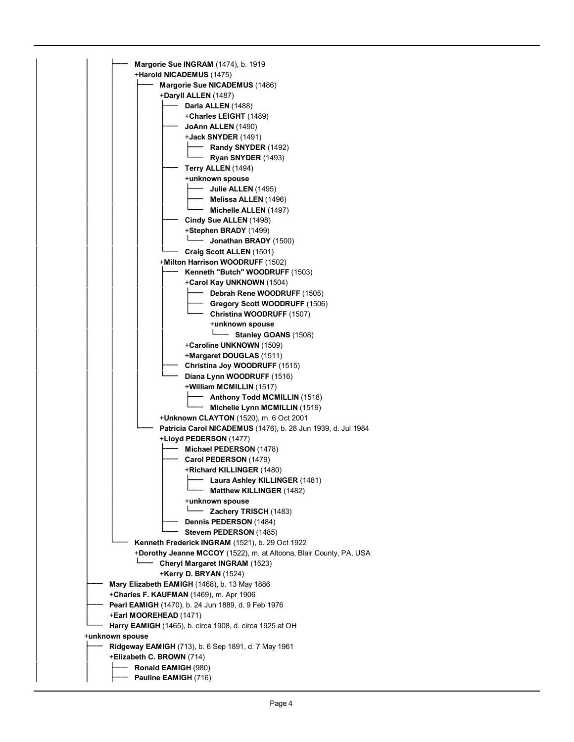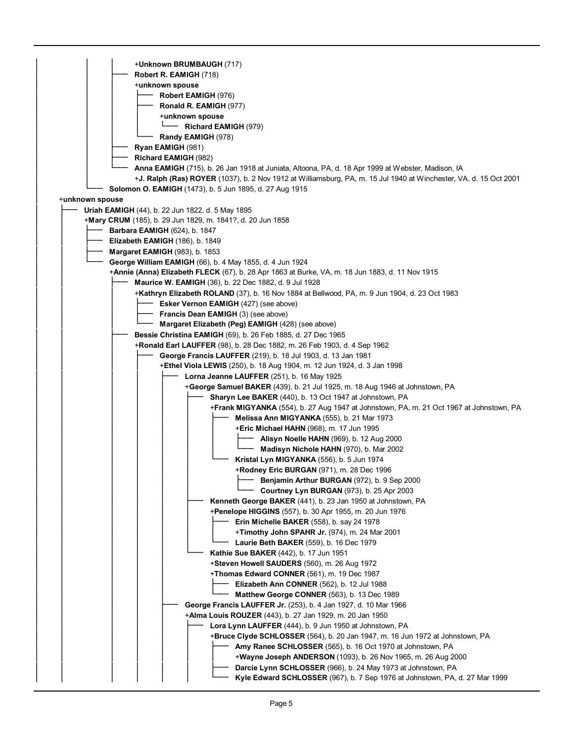| +Unknown BRUMBAUGH (717)                                                                                                  |  |
|---------------------------------------------------------------------------------------------------------------------------|--|
| Robert R. EAMIGH (718)                                                                                                    |  |
| +unknown spouse                                                                                                           |  |
| Robert EAMIGH (976)                                                                                                       |  |
| Ronald R. EAMIGH (977)                                                                                                    |  |
| +unknown spouse                                                                                                           |  |
| - Richard EAMIGH (979)                                                                                                    |  |
| Randy EAMIGH (978)                                                                                                        |  |
| Ryan EAMIGH (981)                                                                                                         |  |
| Richard EAMIGH (982)                                                                                                      |  |
| <b>Anna EAMIGH</b> (715), b. 26 Jan 1918 at Juniata, Altoona, PA, d. 18 Apr 1999 at Webster, Madison, IA                  |  |
| + <b>J. Ralph (Ras) ROYER</b> (1037), b. 2 Nov 1912 at Williamsburg, PA, m. 15 Jul 1940 at Winchester, VA, d. 15 Oct 2001 |  |
| Solomon O. EAMIGH (1473), b. 5 Jun 1895, d. 27 Aug 1915                                                                   |  |
| +unknown spouse                                                                                                           |  |
| <b>Uriah EAMIGH</b> (44), b. 22 Jun 1822, d. 5 May 1895                                                                   |  |
| +Mary CRUM (185), b. 29 Jun 1829, m. 1841?, d. 20 Jun 1858                                                                |  |
| <b>Barbara EAMIGH</b> (624), b. 1847                                                                                      |  |
| <b>Elizabeth EAMIGH (186), b. 1849</b>                                                                                    |  |
| <b>Margaret EAMIGH (983), b. 1853</b>                                                                                     |  |
| George William EAMIGH (66), b. 4 May 1855, d. 4 Jun 1924                                                                  |  |
| <b>+Annie (Anna) Elizabeth FLECK</b> (67), b. 28 Apr 1863 at Burke, VA, m. 18 Jun 1883, d. 11 Nov 1915                    |  |
| <b>Maurice W. EAMIGH</b> (36), b. 22 Dec 1882, d. 9 Jul 1928                                                              |  |
| +Kathryn Elizabeth ROLAND (37), b. 16 Nov 1884 at Bellwood, PA, m. 9 Jun 1904, d. 23 Oct 1983                             |  |
| Esker Vernon EAMIGH (427) (see above)<br>Francis Dean EAMIGH (3) (see above)                                              |  |
| Margaret Elizabeth (Peg) EAMIGH (428) (see above)                                                                         |  |
| Bessie Christina EAMIGH (69), b. 26 Feb 1885, d. 27 Dec 1965                                                              |  |
| +Ronald Earl LAUFFER (98), b. 28 Dec 1882, m. 26 Feb 1903, d. 4 Sep 1962                                                  |  |
| George Francis LAUFFER (219), b. 18 Jul 1903, d. 13 Jan 1981                                                              |  |
| +Ethel Viola LEWIS (250), b. 18 Aug 1904, m. 12 Jun 1924, d. 3 Jan 1998                                                   |  |
| Lorna Jeanne LAUFFER (251), b. 16 May 1925                                                                                |  |
| +George Samuel BAKER (439), b. 21 Jul 1925, m. 18 Aug 1946 at Johnstown, PA                                               |  |
| <b>Sharyn Lee BAKER</b> (440), b. 13 Oct 1947 at Johnstown, PA                                                            |  |
| +Frank MIGYANKA (554), b. 27 Aug 1947 at Johnstown, PA, m. 21 Oct 1967 at Johnstown, PA                                   |  |
| <b>Melissa Ann MIGYANKA</b> (555), b. 21 Mar 1973                                                                         |  |
| +Eric Michael HAHN (968), m. 17 Jun 1995                                                                                  |  |
| <b>Alisyn Noelle HAHN</b> (969), b. 12 Aug 2000                                                                           |  |
| Madisyn Nichole HAHN (970), b. Mar 2002                                                                                   |  |
| Kristal Lyn MIGYANKA (556), b. 5 Jun 1974                                                                                 |  |
| <b>+Rodney Eric BURGAN</b> (971), m. 28 Dec 1996                                                                          |  |
| Benjamin Arthur BURGAN (972), b. 9 Sep 2000                                                                               |  |
| Courtney Lyn BURGAN (973), b. 25 Apr 2003                                                                                 |  |
| Kenneth George BAKER (441), b. 23 Jan 1950 at Johnstown, PA<br>+Penelope HIGGINS (557), b. 30 Apr 1955, m. 20 Jun 1976    |  |
| <b>Erin Michelle BAKER</b> (558), b. say 24 1978                                                                          |  |
| +Timothy John SPAHR Jr. (974), m. 24 Mar 2001                                                                             |  |
| Laurie Beth BAKER (559), b. 16 Dec 1979                                                                                   |  |
| <b>Kathie Sue BAKER</b> (442), b. 17 Jun 1951                                                                             |  |
| +Steven Howell SAUDERS (560), m. 26 Aug 1972                                                                              |  |
| +Thomas Edward CONNER (561), m. 19 Dec 1987                                                                               |  |
| Elizabeth Ann CONNER (562), b. 12 Jul 1988                                                                                |  |
| Matthew George CONNER (563), b. 13 Dec 1989                                                                               |  |
| <b>George Francis LAUFFER Jr.</b> (253), b. 4 Jan 1927, d. 10 Mar 1966                                                    |  |
| +Alma Louis ROUZER (443), b. 27 Jan 1929, m. 20 Jan 1950                                                                  |  |
| Lora Lynn LAUFFER (444), b. 9 Jun 1950 at Johnstown, PA                                                                   |  |
| <b>+Bruce Clyde SCHLOSSER</b> (564), b. 20 Jan 1947, m. 16 Jun 1972 at Johnstown, PA                                      |  |
| Amy Ranee SCHLOSSER (565), b. 16 Oct 1970 at Johnstown, PA                                                                |  |
| +Wayne Joseph ANDERSON (1093), b. 26 Nov 1965, m. 26 Aug 2000                                                             |  |
| Darcie Lynn SCHLOSSER (966), b. 24 May 1973 at Johnstown, PA                                                              |  |
| Kyle Edward SCHLOSSER (967), b. 7 Sep 1976 at Johnstown, PA, d. 27 Mar 1999                                               |  |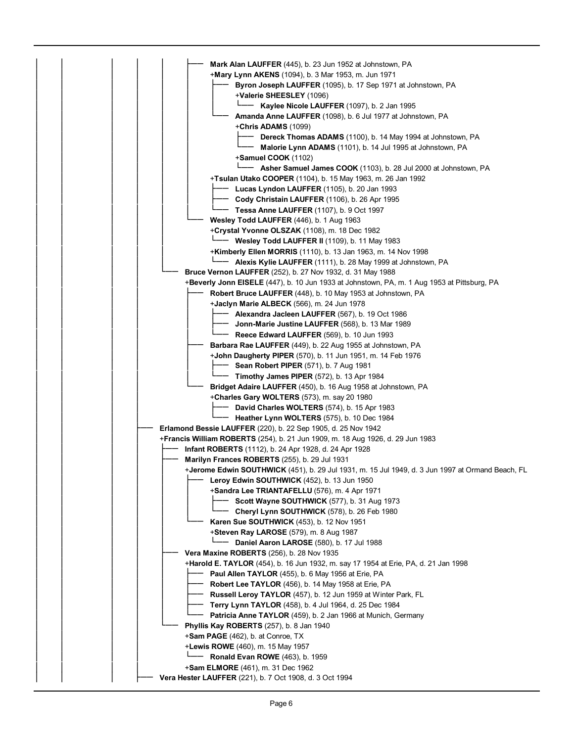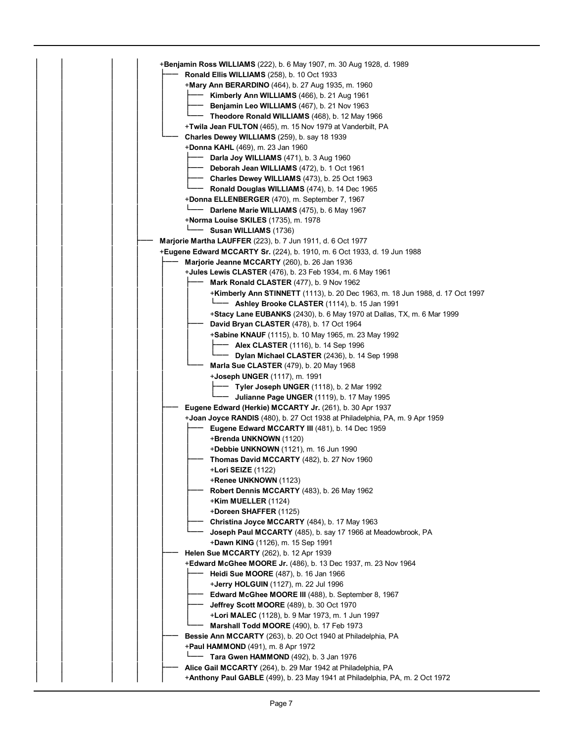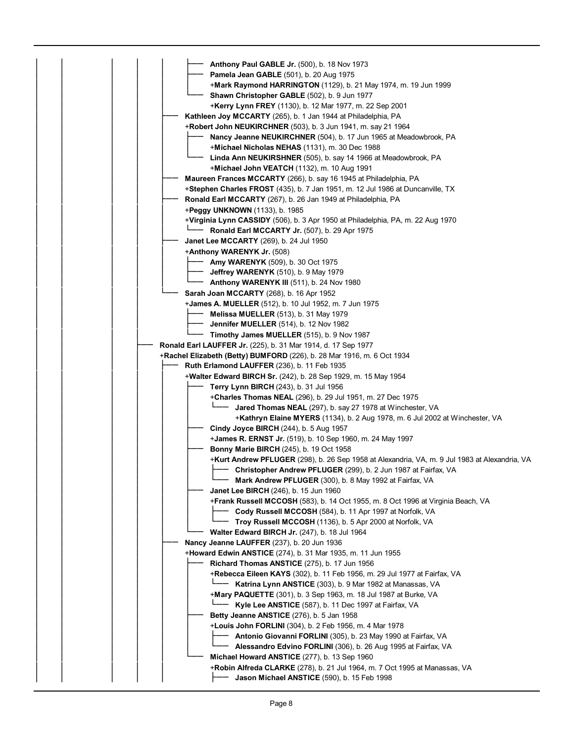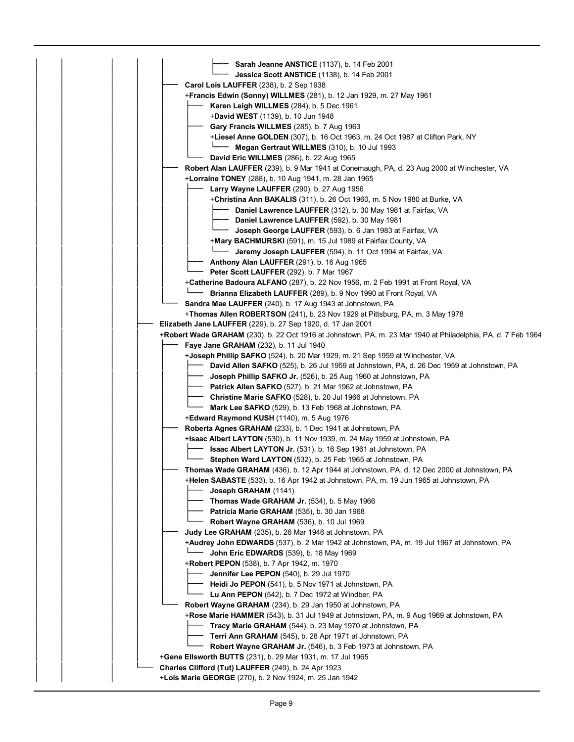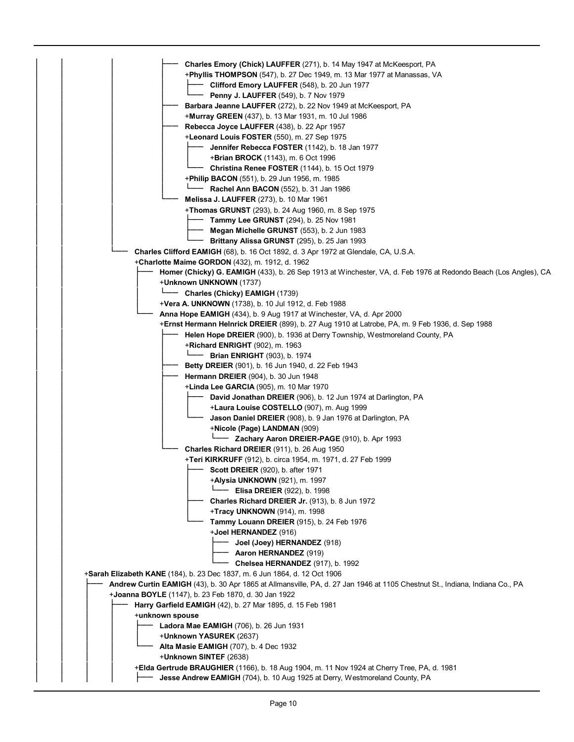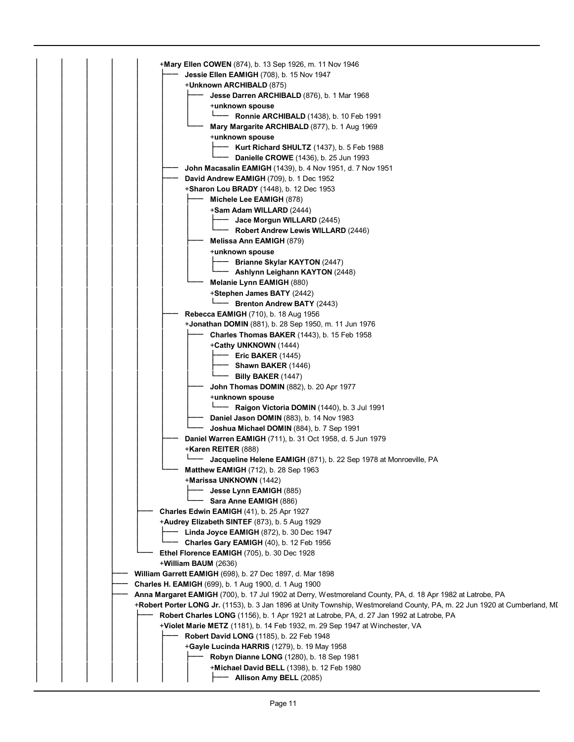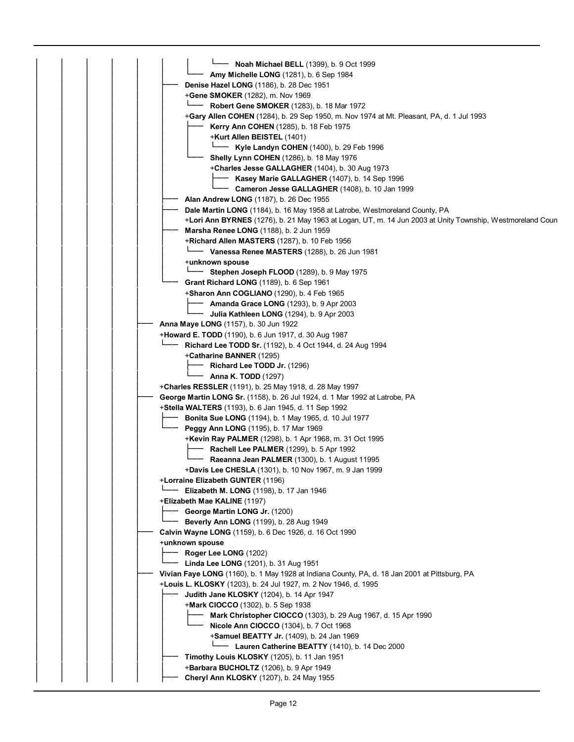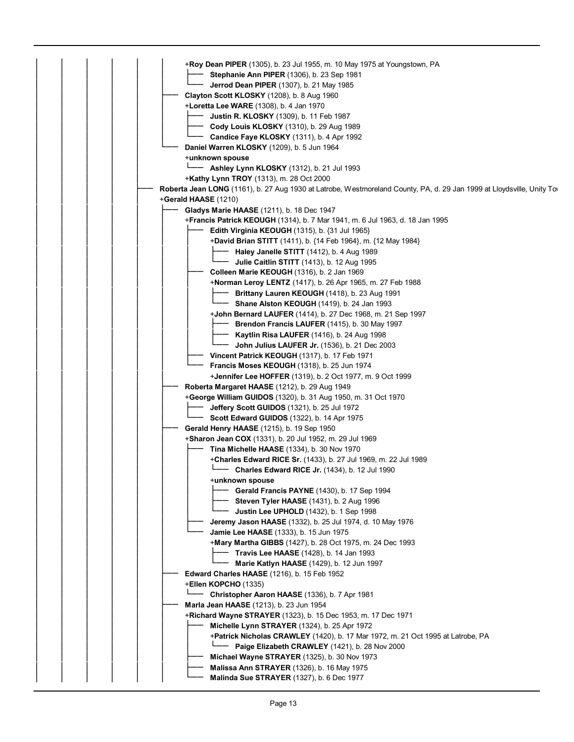| +Roy Dean PIPER (1305), b. 23 Jul 1955, m. 10 May 1975 at Youngstown, PA                                              |
|-----------------------------------------------------------------------------------------------------------------------|
| Stephanie Ann PIPER (1306), b. 23 Sep 1981                                                                            |
| <b>Jerrod Dean PIPER</b> (1307), b. 21 May 1985                                                                       |
|                                                                                                                       |
| Clayton Scott KLOSKY (1208), b. 8 Aug 1960                                                                            |
| +Loretta Lee WARE (1308), b. 4 Jan 1970                                                                               |
| <b>Justin R. KLOSKY</b> (1309), b. 11 Feb 1987                                                                        |
| Cody Louis KLOSKY (1310), b. 29 Aug 1989                                                                              |
| Candice Faye KLOSKY (1311), b. 4 Apr 1992                                                                             |
| Daniel Warren KLOSKY (1209), b. 5 Jun 1964                                                                            |
| +unknown spouse                                                                                                       |
| - Ashley Lynn KLOSKY (1312), b. 21 Jul 1993                                                                           |
| +Kathy Lynn TROY (1313), m. 28 Oct 2000                                                                               |
| Roberta Jean LONG (1161), b. 27 Aug 1930 at Latrobe, Westmoreland County, PA, d. 29 Jan 1999 at Lloydsville, Unity To |
| $+$ Gerald HAASE (1210)                                                                                               |
|                                                                                                                       |
| <b>Gladys Marie HAASE</b> (1211), b. 18 Dec 1947                                                                      |
| <b>+Francis Patrick KEOUGH</b> (1314), b. 7 Mar 1941, m. 6 Jul 1963, d. 18 Jan 1995                                   |
| Edith Virginia KEOUGH $(1315)$ , b. $\{31 \text{ Jul } 1965\}$                                                        |
| +David Brian STITT (1411), b. {14 Feb 1964}, m. {12 May 1984}                                                         |
| Haley Janelle STITT (1412), b. 4 Aug 1989                                                                             |
| Julie Caitlin STITT (1413), b. 12 Aug 1995                                                                            |
| Colleen Marie KEOUGH (1316), b. 2 Jan 1969                                                                            |
| +Norman Leroy LENTZ (1417), b. 26 Apr 1965, m. 27 Feb 1988                                                            |
| Brittany Lauren KEOUGH (1418), b. 23 Aug 1991                                                                         |
| <b>Shane Alston KEOUGH</b> (1419), b. 24 Jan 1993                                                                     |
| +John Bernard LAUFER (1414), b. 27 Dec 1968, m. 21 Sep 1997                                                           |
| <b>Brendon Francis LAUFER</b> (1415), b. 30 May 1997                                                                  |
| <b>Kaytlin Risa LAUFER</b> (1416), b. 24 Aug 1998                                                                     |
| John Julius LAUFER Jr. (1536), b. 21 Dec 2003                                                                         |
| Vincent Patrick KEOUGH (1317), b. 17 Feb 1971                                                                         |
|                                                                                                                       |
| <b>Francis Moses KEOUGH (1318), b. 25 Jun 1974</b>                                                                    |
| +Jennifer Lee HOFFER (1319), b. 2 Oct 1977, m. 9 Oct 1999                                                             |
| Roberta Margaret HAASE (1212), b. 29 Aug 1949                                                                         |
| +George William GUIDOS (1320), b. 31 Aug 1950, m. 31 Oct 1970                                                         |
| Jeffery Scott GUIDOS (1321), b. 25 Jul 1972                                                                           |
| Scott Edward GUIDOS (1322), b. 14 Apr 1975                                                                            |
| Gerald Henry HAASE (1215), b. 19 Sep 1950                                                                             |
| +Sharon Jean COX (1331), b. 20 Jul 1952, m. 29 Jul 1969                                                               |
| Tina Michelle HAASE (1334), b. 30 Nov 1970                                                                            |
| +Charles Edward RICE Sr. (1433), b. 27 Jul 1969, m. 22 Jul 1989                                                       |
| <b>-- Charles Edward RICE Jr.</b> (1434), b. 12 Jul 1990                                                              |
| +unknown spouse                                                                                                       |
| <b>Gerald Francis PAYNE</b> (1430), b. 17 Sep 1994                                                                    |
| Steven Tyler HAASE (1431), b. 2 Aug 1996                                                                              |
| <b>Justin Lee UPHOLD</b> (1432), b. 1 Sep 1998                                                                        |
|                                                                                                                       |
| Jeremy Jason HAASE (1332), b. 25 Jul 1974, d. 10 May 1976                                                             |
| Jamie Lee HAASE (1333), b. 15 Jun 1975                                                                                |
| +Mary Martha GIBBS (1427), b. 28 Oct 1975, m. 24 Dec 1993                                                             |
| <b>Travis Lee HAASE</b> (1428), b. 14 Jan 1993                                                                        |
| <b>- Marie Katlyn HAASE</b> (1429), b. 12 Jun 1997                                                                    |
| <b>Edward Charles HAASE</b> (1216), b. 15 Feb 1952                                                                    |
| <b>+Ellen KOPCHO (1335)</b>                                                                                           |
| - Christopher Aaron HAASE (1336), b. 7 Apr 1981                                                                       |
| Marla Jean HAASE (1213), b. 23 Jun 1954                                                                               |
| +Richard Wayne STRAYER (1323), b. 15 Dec 1953, m. 17 Dec 1971                                                         |
| Michelle Lynn STRAYER (1324), b. 25 Apr 1972                                                                          |
| +Patrick Nicholas CRAWLEY (1420), b. 17 Mar 1972, m. 21 Oct 1995 at Latrobe, PA                                       |
| Paige Elizabeth CRAWLEY (1421), b. 28 Nov 2000                                                                        |
| Michael Wayne STRAYER (1325), b. 30 Nov 1973                                                                          |
| Malissa Ann STRAYER (1326), b. 16 May 1975                                                                            |
| Malinda Sue STRAYER (1327), b. 6 Dec 1977                                                                             |
|                                                                                                                       |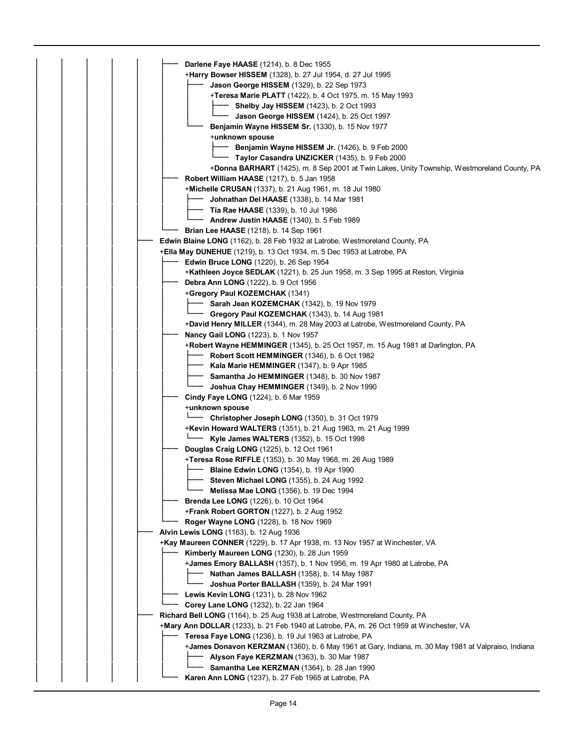|  |  | Darlene Faye HAASE (1214), b. 8 Dec 1955                                                            |
|--|--|-----------------------------------------------------------------------------------------------------|
|  |  | <b>+Harry Bowser HISSEM</b> (1328), b. 27 Jul 1954, d. 27 Jul 1995                                  |
|  |  | <b>Jason George HISSEM</b> (1329), b. 22 Sep 1973                                                   |
|  |  | +Teresa Marie PLATT (1422), b. 4 Oct 1975, m. 15 May 1993                                           |
|  |  | <b>- Shelby Jay HISSEM</b> (1423), b. 2 Oct 1993                                                    |
|  |  | Jason George HISSEM (1424), b. 25 Oct 1997                                                          |
|  |  | Benjamin Wayne HISSEM Sr. (1330), b. 15 Nov 1977                                                    |
|  |  | +unknown spouse                                                                                     |
|  |  | Benjamin Wayne HISSEM Jr. (1426), b. 9 Feb 2000                                                     |
|  |  | Taylor Casandra UNZICKER (1435), b. 9 Feb 2000                                                      |
|  |  | +Donna BARHART (1425), m. 8 Sep 2001 at Twin Lakes, Unity Township, Westmoreland County, PA         |
|  |  | <b>Robert William HAASE</b> (1217), b. 5 Jan 1958                                                   |
|  |  | +Michelle CRUSAN (1337), b. 21 Aug 1961, m. 18 Jul 1980                                             |
|  |  | <b>Johnathan Del HAASE</b> (1338), b. 14 Mar 1981                                                   |
|  |  | <b>Tia Rae HAASE</b> (1339), b. 10 Jul 1986                                                         |
|  |  | Andrew Justin HAASE (1340), b. 5 Feb 1989                                                           |
|  |  | <b>Brian Lee HAASE</b> (1218), b. 14 Sep 1961                                                       |
|  |  | <b>Edwin Blaine LONG</b> (1162), b. 28 Feb 1932 at Latrobe, Westmoreland County, PA                 |
|  |  | <b>+Ella May DUNEHUE</b> (1219), b. 13 Oct 1934, m. 5 Dec 1953 at Latrobe, PA                       |
|  |  | <b>Edwin Bruce LONG</b> (1220), b. 26 Sep 1954                                                      |
|  |  | +Kathleen Joyce SEDLAK (1221), b. 25 Jun 1958, m. 3 Sep 1995 at Reston, Virginia                    |
|  |  | Debra Ann LONG (1222), b. 9 Oct 1956                                                                |
|  |  | +Gregory Paul KOZEMCHAK (1341)                                                                      |
|  |  | Sarah Jean KOZEMCHAK (1342), b. 19 Nov 1979                                                         |
|  |  | Gregory Paul KOZEMCHAK (1343), b. 14 Aug 1981                                                       |
|  |  | +David Henry MILLER (1344), m. 28 May 2003 at Latrobe, Westmoreland County, PA                      |
|  |  | Nancy Gail LONG (1223), b. 1 Nov 1957                                                               |
|  |  | +Robert Wayne HEMMINGER (1345), b. 25 Oct 1957, m. 15 Aug 1981 at Darlington, PA                    |
|  |  | - Robert Scott HEMMINGER (1346), b. 6 Oct 1982                                                      |
|  |  | Kala Marie HEMMINGER (1347), b. 9 Apr 1985                                                          |
|  |  | <b>Samantha Jo HEMMINGER</b> (1348), b. 30 Nov 1987                                                 |
|  |  | Joshua Chay HEMMINGER (1349), b. 2 Nov 1990                                                         |
|  |  | Cindy Faye LONG (1224), b. 6 Mar 1959                                                               |
|  |  | +unknown spouse                                                                                     |
|  |  | Christopher Joseph LONG (1350), b. 31 Oct 1979                                                      |
|  |  | +Kevin Howard WALTERS (1351), b. 21 Aug 1963, m. 21 Aug 1999                                        |
|  |  | Kyle James WALTERS (1352), b. 15 Oct 1998                                                           |
|  |  | Douglas Craig LONG (1225), b. 12 Oct 1961                                                           |
|  |  | +Teresa Rose RIFFLE (1353), b. 30 May 1968, m. 26 Aug 1989                                          |
|  |  | <b>Blaine Edwin LONG</b> (1354), b. 19 Apr 1990                                                     |
|  |  | Steven Michael LONG (1355), b. 24 Aug 1992                                                          |
|  |  | <b>Melissa Mae LONG</b> (1356), b. 19 Dec 1994                                                      |
|  |  | Brenda Lee LONG (1226), b. 10 Oct 1964                                                              |
|  |  |                                                                                                     |
|  |  | <b>+Frank Robert GORTON</b> (1227), b. 2 Aug 1952                                                   |
|  |  | Roger Wayne LONG (1228), b. 18 Nov 1969                                                             |
|  |  | Alvin Lewis LONG (1163), b. 12 Aug 1936                                                             |
|  |  | +Kay Maureen CONNER (1229), b. 17 Apr 1938, m. 13 Nov 1957 at Winchester, VA                        |
|  |  | Kimberly Maureen LONG (1230), b. 28 Jun 1959                                                        |
|  |  | +James Emory BALLASH (1357), b. 1 Nov 1956, m. 19 Apr 1980 at Latrobe, PA                           |
|  |  | Nathan James BALLASH (1358), b. 14 May 1987                                                         |
|  |  | Joshua Porter BALLASH (1359), b. 24 Mar 1991                                                        |
|  |  | Lewis Kevin LONG (1231), b. 28 Nov 1962                                                             |
|  |  | Corey Lane LONG (1232), b. 22 Jan 1964                                                              |
|  |  | <b>Richard Bell LONG</b> (1164), b. 25 Aug 1938 at Latrobe, Westmoreland County, PA                 |
|  |  | +Mary Ann DOLLAR (1233), b. 21 Feb 1940 at Latrobe, PA, m. 26 Oct 1959 at Winchester, VA            |
|  |  | Teresa Faye LONG (1236), b. 19 Jul 1963 at Latrobe, PA                                              |
|  |  | +James Donavon KERZMAN (1360), b. 6 May 1961 at Gary, Indiana, m. 30 May 1981 at Valpraiso, Indiana |
|  |  | Alyson Faye KERZMAN (1363), b. 30 Mar 1987                                                          |
|  |  | Samantha Lee KERZMAN (1364), b. 28 Jan 1990                                                         |
|  |  | Karen Ann LONG (1237), b. 27 Feb 1965 at Latrobe, PA                                                |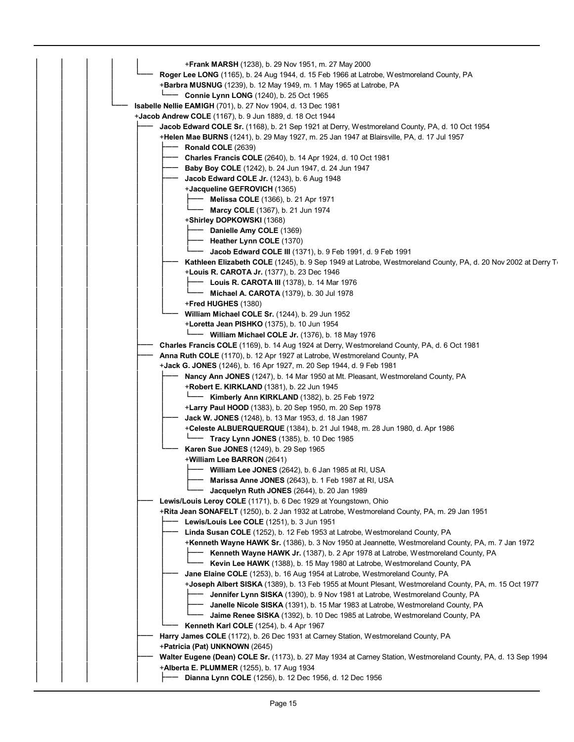| <b>+Frank MARSH</b> (1238), b. 29 Nov 1951, m. 27 May 2000                                                      |
|-----------------------------------------------------------------------------------------------------------------|
| Roger Lee LONG (1165), b. 24 Aug 1944, d. 15 Feb 1966 at Latrobe, Westmoreland County, PA                       |
| <b>+Barbra MUSNUG</b> (1239), b. 12 May 1949, m. 1 May 1965 at Latrobe, PA                                      |
| <b>L</b> —— <b>Connie Lynn LONG</b> (1240), b. 25 Oct 1965                                                      |
| <b>Isabelle Nellie EAMIGH</b> (701), b. 27 Nov 1904, d. 13 Dec 1981                                             |
| +Jacob Andrew COLE (1167), b. 9 Jun 1889, d. 18 Oct 1944                                                        |
| Jacob Edward COLE Sr. (1168), b. 21 Sep 1921 at Derry, Westmoreland County, PA, d. 10 Oct 1954                  |
| +Helen Mae BURNS (1241), b. 29 May 1927, m. 25 Jan 1947 at Blairsville, PA, d. 17 Jul 1957                      |
| <b>Ronald COLE (2639)</b>                                                                                       |
| Charles Francis COLE (2640), b. 14 Apr 1924, d. 10 Oct 1981                                                     |
| Baby Boy COLE (1242), b. 24 Jun 1947, d. 24 Jun 1947                                                            |
| Jacob Edward COLE Jr. (1243), b. 6 Aug 1948                                                                     |
| + <b>Jacqueline GEFROVICH</b> (1365)                                                                            |
| <b>Melissa COLE</b> (1366), b. 21 Apr 1971                                                                      |
| <b>Marcy COLE</b> (1367), b. 21 Jun 1974                                                                        |
| +Shirley DOPKOWSKI (1368)                                                                                       |
| Danielle Amy COLE (1369)                                                                                        |
| Heather Lynn COLE (1370)                                                                                        |
| <b>Jacob Edward COLE III</b> (1371), b. 9 Feb 1991, d. 9 Feb 1991                                               |
| Kathleen Elizabeth COLE (1245), b. 9 Sep 1949 at Latrobe, Westmoreland County, PA, d. 20 Nov 2002 at Derry To   |
| +Louis R. CAROTA Jr. (1377), b. 23 Dec 1946                                                                     |
| <b>Louis R. CAROTA III</b> (1378), b. 14 Mar 1976                                                               |
| <b>Michael A. CAROTA</b> (1379), b. 30 Jul 1978                                                                 |
| +Fred HUGHES (1380)                                                                                             |
| William Michael COLE Sr. (1244), b. 29 Jun 1952                                                                 |
| +Loretta Jean PISHKO (1375), b. 10 Jun 1954                                                                     |
| - William Michael COLE Jr. (1376), b. 18 May 1976                                                               |
| Charles Francis COLE (1169), b. 14 Aug 1924 at Derry, Westmoreland County, PA, d. 6 Oct 1981                    |
| Anna Ruth COLE (1170), b. 12 Apr 1927 at Latrobe, Westmoreland County, PA                                       |
| +Jack G. JONES (1246), b. 16 Apr 1927, m. 20 Sep 1944, d. 9 Feb 1981                                            |
| Nancy Ann JONES (1247), b. 14 Mar 1950 at Mt. Pleasant, Westmoreland County, PA                                 |
| +Robert E. KIRKLAND (1381), b. 22 Jun 1945<br>Kimberly Ann KIRKLAND (1382), b. 25 Feb 1972                      |
| +Larry Paul HOOD (1383), b. 20 Sep 1950, m. 20 Sep 1978                                                         |
| Jack W. JONES (1248), b. 13 Mar 1953, d. 18 Jan 1987                                                            |
| +Celeste ALBUERQUERQUE (1384), b. 21 Jul 1948, m. 28 Jun 1980, d. Apr 1986                                      |
| $L$ —— Tracy Lynn JONES (1385), b. 10 Dec 1985                                                                  |
| Karen Sue JONES (1249), b. 29 Sep 1965                                                                          |
| +William Lee BARRON (2641)                                                                                      |
| William Lee JONES (2642), b. 6 Jan 1985 at RI, USA                                                              |
| Marissa Anne JONES (2643), b. 1 Feb 1987 at RI, USA                                                             |
| Jacquelyn Ruth JONES (2644), b. 20 Jan 1989                                                                     |
| Lewis/Louis Leroy COLE (1171), b. 6 Dec 1929 at Youngstown, Ohio                                                |
| +Rita Jean SONAFELT (1250), b. 2 Jan 1932 at Latrobe, Westmoreland County, PA, m. 29 Jan 1951                   |
| Lewis/Louis Lee COLE (1251), b. 3 Jun 1951                                                                      |
| <b>Linda Susan COLE</b> (1252), b. 12 Feb 1953 at Latrobe, Westmoreland County, PA                              |
| +Kenneth Wayne HAWK Sr. (1386), b. 3 Nov 1950 at Jeannette, Westmoreland County, PA, m. 7 Jan 1972              |
| Kenneth Wayne HAWK Jr. (1387), b. 2 Apr 1978 at Latrobe, Westmoreland County, PA                                |
| Kevin Lee HAWK (1388), b. 15 May 1980 at Latrobe, Westmoreland County, PA                                       |
| Jane Elaine COLE (1253), b. 16 Aug 1954 at Latrobe, Westmoreland County, PA                                     |
| +Joseph Albert SISKA (1389), b. 13 Feb 1955 at Mount Plesant, Westmoreland County, PA, m. 15 Oct 1977           |
| Jennifer Lynn SISKA (1390), b. 9 Nov 1981 at Latrobe, Westmoreland County, PA                                   |
| Janelle Nicole SISKA (1391), b. 15 Mar 1983 at Latrobe, Westmoreland County, PA                                 |
| Jaime Renee SISKA (1392), b. 10 Dec 1985 at Latrobe, Westmoreland County, PA                                    |
| Kenneth Karl COLE (1254), b. 4 Apr 1967                                                                         |
| Harry James COLE (1172), b. 26 Dec 1931 at Carney Station, Westmoreland County, PA                              |
| +Patricia (Pat) UNKNOWN (2645)                                                                                  |
| Walter Eugene (Dean) COLE Sr. (1173), b. 27 May 1934 at Carney Station, Westmoreland County, PA, d. 13 Sep 1994 |
| +Alberta E. PLUMMER (1255), b. 17 Aug 1934                                                                      |
| <b>Dianna Lynn COLE</b> (1256), b. 12 Dec 1956, d. 12 Dec 1956                                                  |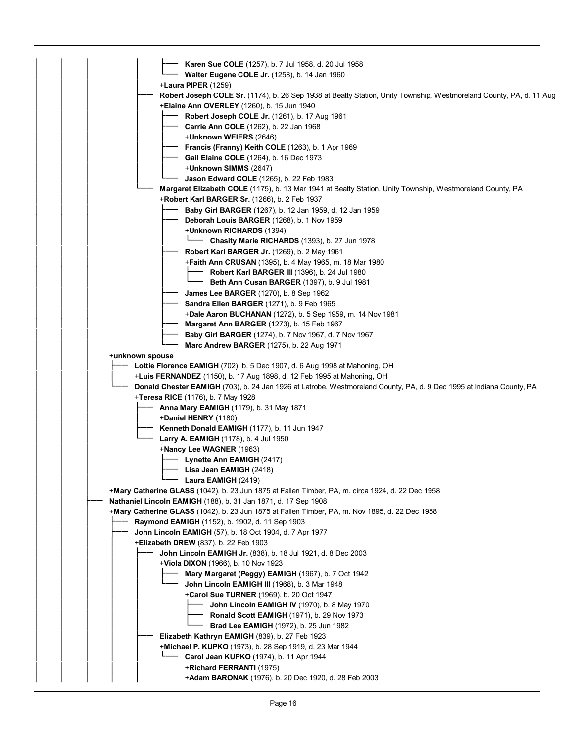| Karen Sue COLE (1257), b. 7 Jul 1958, d. 20 Jul 1958                                                                 |
|----------------------------------------------------------------------------------------------------------------------|
| Walter Eugene COLE Jr. (1258), b. 14 Jan 1960                                                                        |
| +Laura PIPER (1259)                                                                                                  |
| Robert Joseph COLE Sr. (1174), b. 26 Sep 1938 at Beatty Station, Unity Township, Westmoreland County, PA, d. 11 Aug  |
| <b>Elaine Ann OVERLEY</b> (1260), b. 15 Jun 1940                                                                     |
| <b>Robert Joseph COLE Jr.</b> (1261), b. 17 Aug 1961                                                                 |
| Carrie Ann COLE (1262), b. 22 Jan 1968                                                                               |
| +Unknown WEIERS (2646)                                                                                               |
| Francis (Franny) Keith COLE (1263), b. 1 Apr 1969                                                                    |
| Gail Elaine COLE (1264), b. 16 Dec 1973                                                                              |
| +Unknown SIMMS (2647)                                                                                                |
| <b>Jason Edward COLE</b> (1265), b. 22 Feb 1983                                                                      |
| Margaret Elizabeth COLE (1175), b. 13 Mar 1941 at Beatty Station, Unity Township, Westmoreland County, PA            |
| $+$ Robert Karl BARGER Sr. (1266), b. 2 Feb 1937                                                                     |
| <b>Baby Girl BARGER</b> (1267), b. 12 Jan 1959, d. 12 Jan 1959                                                       |
| Deborah Louis BARGER (1268), b. 1 Nov 1959                                                                           |
| +Unknown RICHARDS (1394)                                                                                             |
| <b>Chasity Marie RICHARDS</b> (1393), b. 27 Jun 1978                                                                 |
| Robert Karl BARGER Jr. (1269), b. 2 May 1961                                                                         |
| <b>+Faith Ann CRUSAN</b> (1395), b. 4 May 1965, m. 18 Mar 1980                                                       |
| <b>Robert Karl BARGER III</b> (1396), b. 24 Jul 1980                                                                 |
| Beth Ann Cusan BARGER (1397), b. 9 Jul 1981                                                                          |
| <b>James Lee BARGER</b> (1270), b. 8 Sep 1962                                                                        |
| Sandra Ellen BARGER (1271), b. 9 Feb 1965                                                                            |
| <b>+Dale Aaron BUCHANAN</b> (1272), b. 5 Sep 1959, m. 14 Nov 1981                                                    |
| <b>Margaret Ann BARGER</b> (1273), b. 15 Feb 1967                                                                    |
| <b>Baby Girl BARGER</b> (1274), b. 7 Nov 1967, d. 7 Nov 1967                                                         |
| Marc Andrew BARGER (1275), b. 22 Aug 1971                                                                            |
| +unknown spouse                                                                                                      |
| Lottie Florence EAMIGH (702), b. 5 Dec 1907, d. 6 Aug 1998 at Mahoning, OH                                           |
| +Luis FERNANDEZ (1150), b. 17 Aug 1898, d. 12 Feb 1995 at Mahoning, OH                                               |
| Donald Chester EAMIGH (703), b. 24 Jan 1926 at Latrobe, Westmoreland County, PA, d. 9 Dec 1995 at Indiana County, PA |
| +Teresa RICE (1176), b. 7 May 1928                                                                                   |
| <b>Anna Mary EAMIGH</b> (1179), b. 31 May 1871                                                                       |
| <b>+Daniel HENRY</b> $(1180)$                                                                                        |
| Kenneth Donald EAMIGH (1177), b. 11 Jun 1947                                                                         |
| <b>Larry A. EAMIGH</b> (1178), b. 4 Jul 1950                                                                         |
| +Nancy Lee WAGNER (1963)                                                                                             |
| - Lynette Ann EAMIGH (2417)                                                                                          |
| - Lisa Jean EAMIGH (2418)                                                                                            |
| Laura EAMIGH $(2419)$                                                                                                |
| +Mary Catherine GLASS (1042), b. 23 Jun 1875 at Fallen Timber, PA, m. circa 1924, d. 22 Dec 1958                     |
| Nathaniel Lincoln EAMIGH (188), b. 31 Jan 1871, d. 17 Sep 1908                                                       |
| +Mary Catherine GLASS (1042), b. 23 Jun 1875 at Fallen Timber, PA, m. Nov 1895, d. 22 Dec 1958                       |
| <b>Raymond EAMIGH</b> (1152), b. 1902, d. 11 Sep 1903                                                                |
| <b>John Lincoln EAMIGH</b> (57), b. 18 Oct 1904, d. 7 Apr 1977                                                       |
| +Elizabeth DREW (837), b. 22 Feb 1903                                                                                |
| John Lincoln EAMIGH Jr. (838), b. 18 Jul 1921, d. 8 Dec 2003                                                         |
| +Viola DIXON (1966), b. 10 Nov 1923                                                                                  |
| Mary Margaret (Peggy) EAMIGH (1967), b. 7 Oct 1942                                                                   |
| John Lincoln EAMIGH III (1968), b. 3 Mar 1948                                                                        |
| <b>+Carol Sue TURNER</b> (1969), b. 20 Oct 1947                                                                      |
| <b>John Lincoln EAMIGH IV</b> (1970), b. 8 May 1970                                                                  |
| <b>Ronald Scott EAMIGH</b> (1971), b. 29 Nov 1973                                                                    |
| Brad Lee EAMIGH (1972), b. 25 Jun 1982                                                                               |
| Elizabeth Kathryn EAMIGH (839), b. 27 Feb 1923                                                                       |
| +Michael P. KUPKO (1973), b. 28 Sep 1919, d. 23 Mar 1944                                                             |
| Carol Jean KUPKO (1974), b. 11 Apr 1944                                                                              |
| +Richard FERRANTI (1975)                                                                                             |
| +Adam BARONAK (1976), b. 20 Dec 1920, d. 28 Feb 2003                                                                 |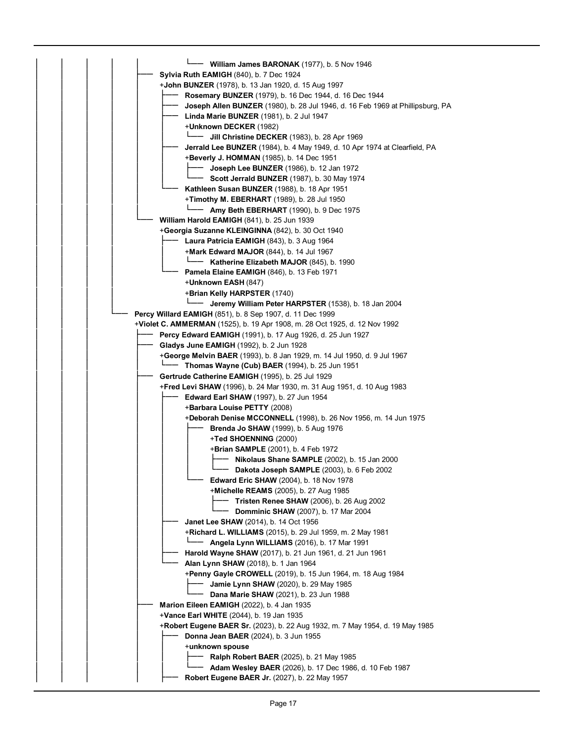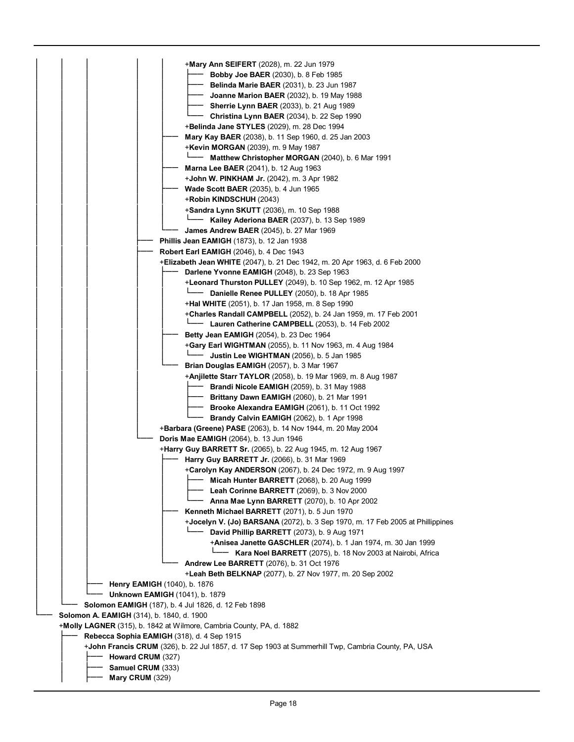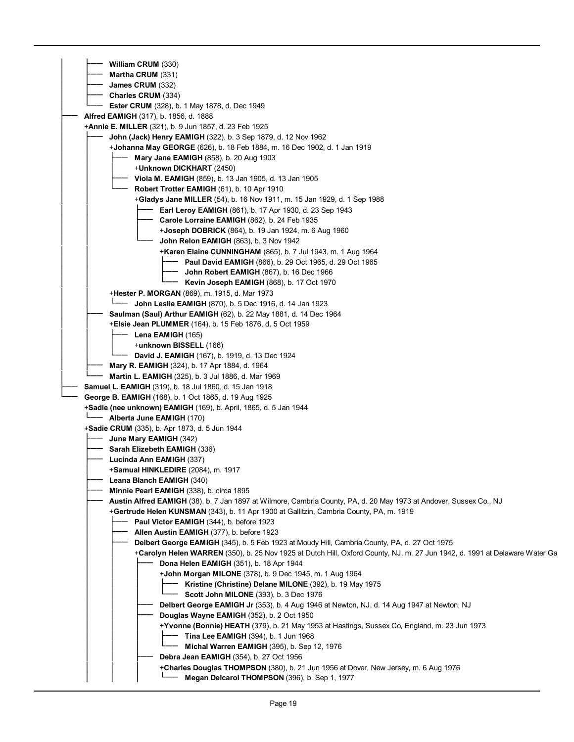| William CRUM (330)                                                                                                                   |
|--------------------------------------------------------------------------------------------------------------------------------------|
| Martha CRUM (331)                                                                                                                    |
| James CRUM (332)                                                                                                                     |
| Charles CRUM (334)                                                                                                                   |
| <b>Ester CRUM</b> (328), b. 1 May 1878, d. Dec 1949                                                                                  |
| <b>Alfred EAMIGH</b> (317), b. 1856, d. 1888                                                                                         |
| +Annie E. MILLER (321), b. 9 Jun 1857, d. 23 Feb 1925                                                                                |
| <b>John (Jack) Henry EAMIGH</b> (322), b. 3 Sep 1879, d. 12 Nov 1962                                                                 |
| + <b>Johanna May GEORGE</b> (626), b. 18 Feb 1884, m. 16 Dec 1902, d. 1 Jan 1919                                                     |
| <b>Mary Jane EAMIGH</b> (858), b. 20 Aug 1903                                                                                        |
| + <b>Unknown DICKHART</b> (2450)                                                                                                     |
| <b>Viola M. EAMIGH</b> (859), b. 13 Jan 1905, d. 13 Jan 1905                                                                         |
| Robert Trotter EAMIGH (61), b. 10 Apr 1910                                                                                           |
| +Gladys Jane MILLER (54), b. 16 Nov 1911, m. 15 Jan 1929, d. 1 Sep 1988                                                              |
| Earl Leroy EAMIGH (861), b. 17 Apr 1930, d. 23 Sep 1943                                                                              |
| Carole Lorraine EAMIGH (862), b. 24 Feb 1935                                                                                         |
| <b>+Joseph DOBRICK</b> (864), b. 19 Jan 1924, m. 6 Aug 1960                                                                          |
| John Relon EAMIGH (863), b. 3 Nov 1942                                                                                               |
| <b>+Karen Elaine CUNNINGHAM</b> (865), b. 7 Jul 1943, m. 1 Aug 1964                                                                  |
| <b>Paul David EAMIGH (866), b. 29 Oct 1965, d. 29 Oct 1965</b>                                                                       |
| John Robert EAMIGH (867), b. 16 Dec 1966                                                                                             |
| <b>Kevin Joseph EAMIGH (868), b. 17 Oct 1970</b>                                                                                     |
| +Hester P. MORGAN (869), m. 1915, d. Mar 1973                                                                                        |
| John Leslie EAMIGH (870), b. 5 Dec 1916, d. 14 Jan 1923                                                                              |
| <b>Saulman (Saul) Arthur EAMIGH</b> (62), b. 22 May 1881, d. 14 Dec 1964                                                             |
| <b>+Elsie Jean PLUMMER</b> (164), b. 15 Feb 1876, d. 5 Oct 1959                                                                      |
| Lena EAMIGH (165)                                                                                                                    |
| +unknown BISSELL (166)                                                                                                               |
| David J. EAMIGH (167), b. 1919, d. 13 Dec 1924                                                                                       |
| Mary R. EAMIGH (324), b. 17 Apr 1884, d. 1964                                                                                        |
| Martin L. EAMIGH (325), b. 3 Jul 1886, d. Mar 1969                                                                                   |
| <b>Samuel L. EAMIGH</b> (319), b. 18 Jul 1860, d. 15 Jan 1918                                                                        |
| George B. EAMIGH (168), b. 1 Oct 1865, d. 19 Aug 1925                                                                                |
|                                                                                                                                      |
| <b>+Sadie (nee unknown) EAMIGH</b> (169), b. April, 1865, d. 5 Jan 1944                                                              |
| - Alberta June EAMIGH (170)                                                                                                          |
| +Sadie CRUM (335), b. Apr 1873, d. 5 Jun 1944                                                                                        |
| June Mary EAMIGH (342)                                                                                                               |
| Sarah Elizebeth EAMIGH (336)                                                                                                         |
| Lucinda Ann EAMIGH (337)                                                                                                             |
| <b>+Samual HINKLEDIRE</b> (2084), m. 1917                                                                                            |
| Leana Blanch EAMIGH (340)                                                                                                            |
| <b>Minnie Pearl EAMIGH</b> (338), b. circa 1895                                                                                      |
| Austin Alfred EAMIGH (38), b. 7 Jan 1897 at Wilmore, Cambria County, PA, d. 20 May 1973 at Andover, Sussex Co., NJ                   |
| <b>+Gertrude Helen KUNSMAN</b> (343), b. 11 Apr 1900 at Gallitzin, Cambria County, PA, m. 1919                                       |
| Paul Victor EAMIGH (344), b. before 1923                                                                                             |
| Allen Austin EAMIGH (377), b. before 1923                                                                                            |
| Delbert George EAMIGH (345), b. 5 Feb 1923 at Moudy Hill, Cambria County, PA, d. 27 Oct 1975                                         |
| +Carolyn Helen WARREN (350), b. 25 Nov 1925 at Dutch Hill, Oxford County, NJ, m. 27 Jun 1942, d. 1991 at Delaware Water Ga           |
| Dona Helen EAMIGH (351), b. 18 Apr 1944                                                                                              |
| +John Morgan MILONE (378), b. 9 Dec 1945, m. 1 Aug 1964                                                                              |
| Kristine (Christine) Delane MILONE (392), b. 19 May 1975                                                                             |
| Scott John MILONE (393), b. 3 Dec 1976                                                                                               |
| Delbert George EAMIGH Jr (353), b. 4 Aug 1946 at Newton, NJ, d. 14 Aug 1947 at Newton, NJ                                            |
| Douglas Wayne EAMIGH (352), b. 2 Oct 1950                                                                                            |
| +Yvonne (Bonnie) HEATH (379), b. 21 May 1953 at Hastings, Sussex Co, England, m. 23 Jun 1973                                         |
| <b>Tina Lee EAMIGH</b> (394), b. 1 Jun 1968                                                                                          |
| Michal Warren EAMIGH (395), b. Sep 12, 1976                                                                                          |
| Debra Jean EAMIGH (354), b. 27 Oct 1956                                                                                              |
| +Charles Douglas THOMPSON (380), b. 21 Jun 1956 at Dover, New Jersey, m. 6 Aug 1976<br>Megan Delcarol THOMPSON (396), b. Sep 1, 1977 |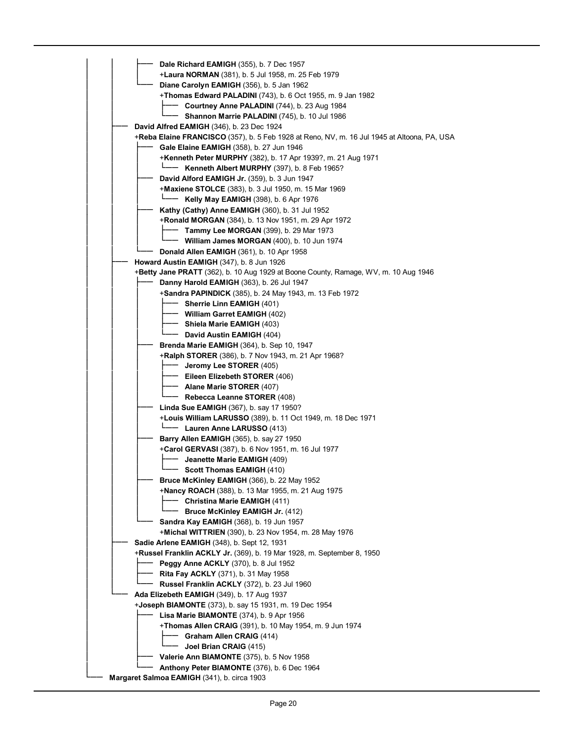